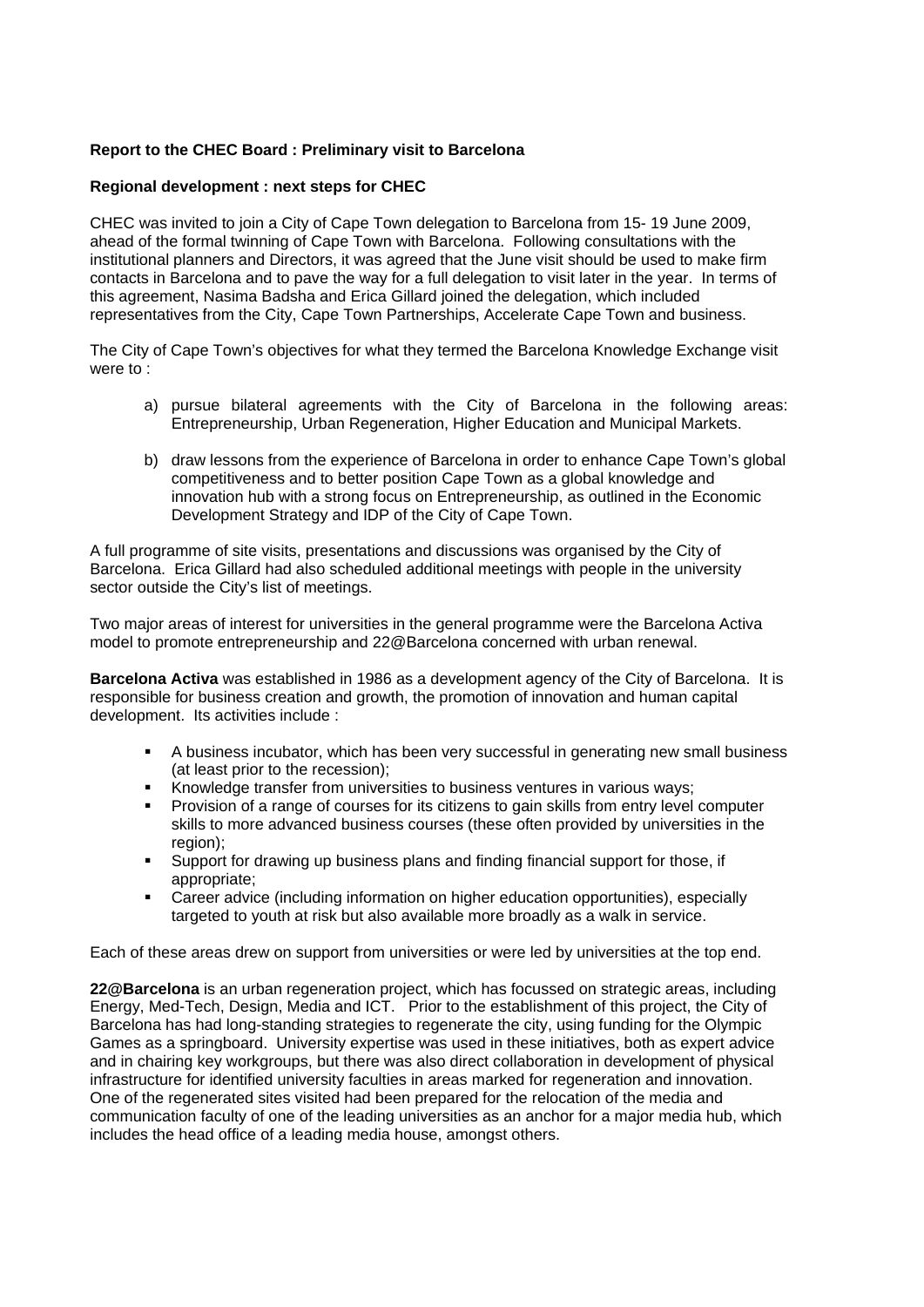## **Report to the CHEC Board : Preliminary visit to Barcelona**

## **Regional development : next steps for CHEC**

CHEC was invited to join a City of Cape Town delegation to Barcelona from 15- 19 June 2009, ahead of the formal twinning of Cape Town with Barcelona. Following consultations with the institutional planners and Directors, it was agreed that the June visit should be used to make firm contacts in Barcelona and to pave the way for a full delegation to visit later in the year. In terms of this agreement, Nasima Badsha and Erica Gillard joined the delegation, which included representatives from the City, Cape Town Partnerships, Accelerate Cape Town and business.

The City of Cape Town's objectives for what they termed the Barcelona Knowledge Exchange visit were to :

- a) pursue bilateral agreements with the City of Barcelona in the following areas: Entrepreneurship, Urban Regeneration, Higher Education and Municipal Markets.
- b) draw lessons from the experience of Barcelona in order to enhance Cape Town's global competitiveness and to better position Cape Town as a global knowledge and innovation hub with a strong focus on Entrepreneurship, as outlined in the Economic Development Strategy and IDP of the City of Cape Town.

A full programme of site visits, presentations and discussions was organised by the City of Barcelona. Erica Gillard had also scheduled additional meetings with people in the university sector outside the City's list of meetings.

Two major areas of interest for universities in the general programme were the Barcelona Activa model to promote entrepreneurship and 22@Barcelona concerned with urban renewal.

**Barcelona Activa** was established in 1986 as a development agency of the City of Barcelona. It is responsible for business creation and growth, the promotion of innovation and human capital development. Its activities include :

- A business incubator, which has been very successful in generating new small business (at least prior to the recession);
- Knowledge transfer from universities to business ventures in various ways;
- Provision of a range of courses for its citizens to gain skills from entry level computer skills to more advanced business courses (these often provided by universities in the region);
- Support for drawing up business plans and finding financial support for those, if appropriate;
- Career advice (including information on higher education opportunities), especially targeted to youth at risk but also available more broadly as a walk in service.

Each of these areas drew on support from universities or were led by universities at the top end.

**22@Barcelona** is an urban regeneration project, which has focussed on strategic areas, including Energy, Med-Tech, Design, Media and ICT. Prior to the establishment of this project, the City of Barcelona has had long-standing strategies to regenerate the city, using funding for the Olympic Games as a springboard. University expertise was used in these initiatives, both as expert advice and in chairing key workgroups, but there was also direct collaboration in development of physical infrastructure for identified university faculties in areas marked for regeneration and innovation. One of the regenerated sites visited had been prepared for the relocation of the media and communication faculty of one of the leading universities as an anchor for a major media hub, which includes the head office of a leading media house, amongst others.